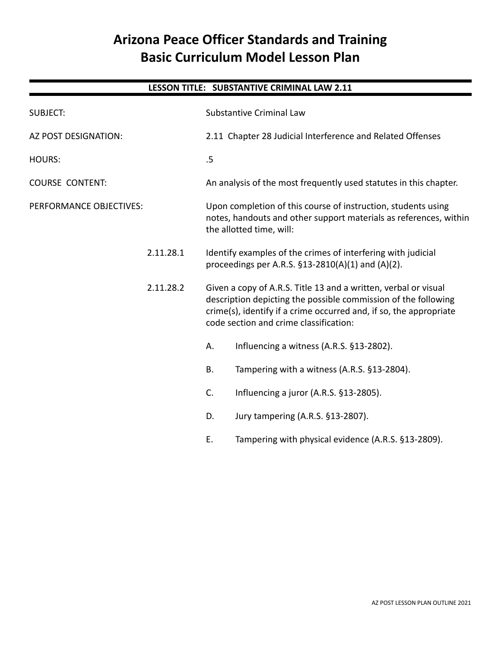# **Arizona Peace Officer Standards and Training Basic Curriculum Model Lesson Plan**

# **LESSON TITLE: SUBSTANTIVE CRIMINAL LAW 2.11** SUBJECT: SUBJECT: SUBJECT: Substantive Criminal Law AZ POST DESIGNATION: 2.11 Chapter 28 Judicial Interference and Related Offenses HOURS: 5 COURSE CONTENT: An analysis of the most frequently used statutes in this chapter. PERFORMANCE OBJECTIVES: Upon completion of this course of instruction, students using notes, handouts and other support materials as references, within the allotted time, will: 2.11.28.1 Identify examples of the crimes of interfering with judicial proceedings per A.R.S. §13-2810(A)(1) and (A)(2). 2.11.28.2 Given a copy of A.R.S. Title 13 and a written, verbal or visual description depicting the possible commission of the following crime(s), identify if a crime occurred and, if so, the appropriate code section and crime classification: A. Influencing a witness (A.R.S. §13-2802). B. Tampering with a witness (A.R.S. §13-2804). C. Influencing a juror (A.R.S. §13-2805). D. Jury tampering (A.R.S. §13-2807). E. Tampering with physical evidence (A.R.S. §13-2809).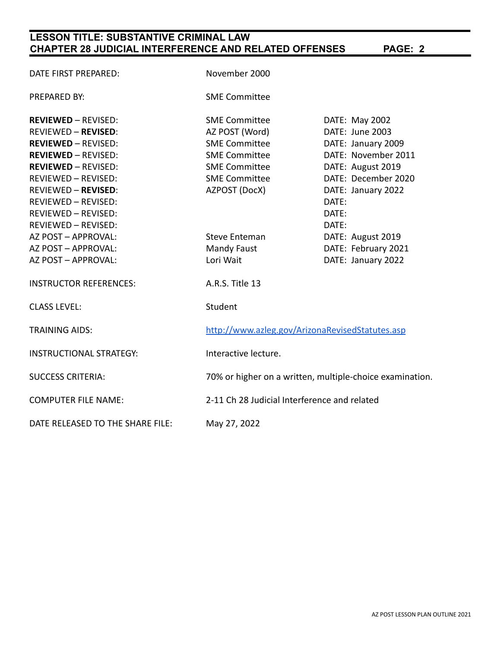# **LESSON TITLE: SUBSTANTIVE CRIMINAL LAW CHAPTER 28 JUDICIAL INTERFERENCE AND RELATED OFFENSES PAGE: 2**

| DATE FIRST PREPARED:             | November 2000                                            |                     |
|----------------------------------|----------------------------------------------------------|---------------------|
| <b>PREPARED BY:</b>              | <b>SME Committee</b>                                     |                     |
| <b>REVIEWED - REVISED:</b>       | <b>SME Committee</b>                                     | DATE: May 2002      |
| <b>REVIEWED - REVISED:</b>       | AZ POST (Word)                                           | DATE: June 2003     |
| <b>REVIEWED - REVISED:</b>       | <b>SME Committee</b>                                     | DATE: January 2009  |
| <b>REVIEWED - REVISED:</b>       | <b>SME Committee</b>                                     | DATE: November 2011 |
| <b>REVIEWED - REVISED:</b>       | <b>SME Committee</b>                                     | DATE: August 2019   |
| REVIEWED - REVISED:              | <b>SME Committee</b>                                     | DATE: December 2020 |
| <b>REVIEWED - REVISED:</b>       | AZPOST (DocX)                                            | DATE: January 2022  |
| REVIEWED - REVISED:              |                                                          | DATE:               |
| <b>REVIEWED - REVISED:</b>       |                                                          | DATE:               |
| REVIEWED - REVISED:              |                                                          | DATE:               |
| AZ POST - APPROVAL:              | Steve Enteman                                            | DATE: August 2019   |
| AZ POST - APPROVAL:              | Mandy Faust                                              | DATE: February 2021 |
| AZ POST - APPROVAL:              | Lori Wait                                                | DATE: January 2022  |
| <b>INSTRUCTOR REFERENCES:</b>    | A.R.S. Title 13                                          |                     |
| <b>CLASS LEVEL:</b>              | Student                                                  |                     |
| <b>TRAINING AIDS:</b>            | http://www.azleg.gov/ArizonaRevisedStatutes.asp          |                     |
| <b>INSTRUCTIONAL STRATEGY:</b>   | Interactive lecture.                                     |                     |
| <b>SUCCESS CRITERIA:</b>         | 70% or higher on a written, multiple-choice examination. |                     |
| <b>COMPUTER FILE NAME:</b>       | 2-11 Ch 28 Judicial Interference and related             |                     |
| DATE RELEASED TO THE SHARE FILE: | May 27, 2022                                             |                     |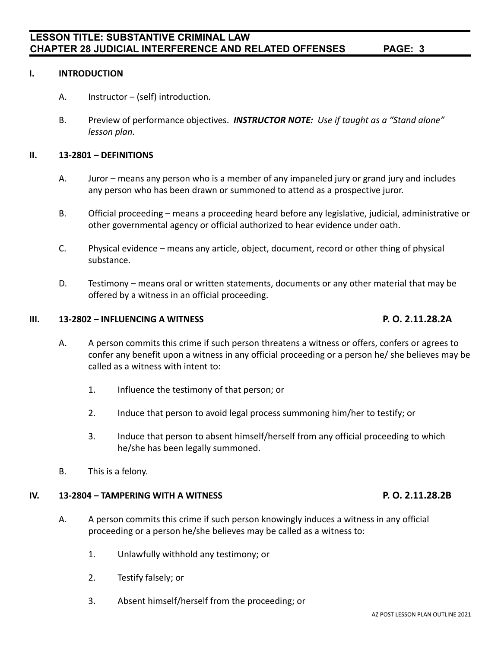### **I. INTRODUCTION**

A. Instructor – (self) introduction.

**LESSON TITLE: SUBSTANTIVE CRIMINAL LAW**

B. Preview of performance objectives. *INSTRUCTOR NOTE: Use if taught as a "Stand alone" lesson plan.*

#### **II. 13-2801 – DEFINITIONS**

- A. Juror means any person who is a member of any impaneled jury or grand jury and includes any person who has been drawn or summoned to attend as a prospective juror.
- B. Official proceeding means a proceeding heard before any legislative, judicial, administrative or other governmental agency or official authorized to hear evidence under oath.
- C. Physical evidence means any article, object, document, record or other thing of physical substance.
- D. Testimony means oral or written statements, documents or any other material that may be offered by a witness in an official proceeding.

### **III. 13-2802 – INFLUENCING A WITNESS P. O. 2.11.28.2A**

- A. A person commits this crime if such person threatens a witness or offers, confers or agrees to confer any benefit upon a witness in any official proceeding or a person he/ she believes may be called as a witness with intent to:
	- 1. Influence the testimony of that person; or
	- 2. Induce that person to avoid legal process summoning him/her to testify; or
	- 3. Induce that person to absent himself/herself from any official proceeding to which he/she has been legally summoned.
- B. This is a felony.

#### **IV. 13-2804 – TAMPERING WITH A WITNESS P. O. 2.11.28.2B**

- A. A person commits this crime if such person knowingly induces a witness in any official proceeding or a person he/she believes may be called as a witness to:
	- 1. Unlawfully withhold any testimony; or
	- 2. Testify falsely; or
	- 3. Absent himself/herself from the proceeding; or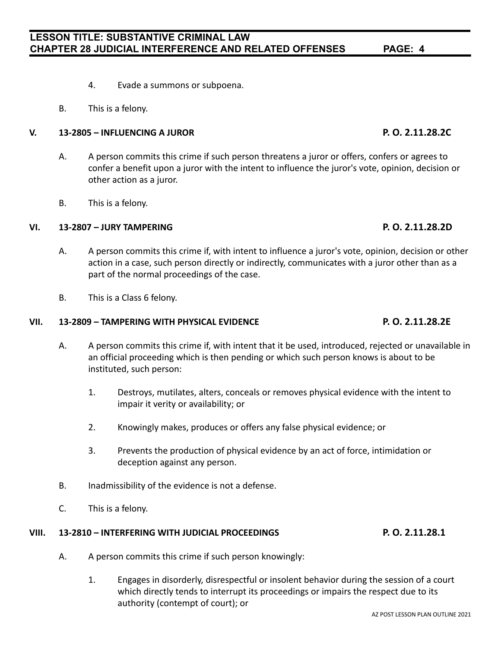# **LESSON TITLE: SUBSTANTIVE CRIMINAL LAW CHAPTER 28 JUDICIAL INTERFERENCE AND RELATED OFFENSES PAGE: 4**

- 4. Evade a summons or subpoena.
- B. This is a felony.

### **V. 13-2805 – INFLUENCING A JUROR P. O. 2.11.28.2C**

- A. A person commits this crime if such person threatens a juror or offers, confers or agrees to confer a benefit upon a juror with the intent to influence the juror's vote, opinion, decision or other action as a juror.
- B. This is a felony.

### **VI. 13-2807 – JURY TAMPERING P. O. 2.11.28.2D**

- A. A person commits this crime if, with intent to influence a juror's vote, opinion, decision or other action in a case, such person directly or indirectly, communicates with a juror other than as a part of the normal proceedings of the case.
- B. This is a Class 6 felony.

### **VII. 13-2809 – TAMPERING WITH PHYSICAL EVIDENCE P. O. 2.11.28.2E**

- A. A person commits this crime if, with intent that it be used, introduced, rejected or unavailable in an official proceeding which is then pending or which such person knows is about to be instituted, such person:
	- 1. Destroys, mutilates, alters, conceals or removes physical evidence with the intent to impair it verity or availability; or
	- 2. Knowingly makes, produces or offers any false physical evidence; or
	- 3. Prevents the production of physical evidence by an act of force, intimidation or deception against any person.
- B. Inadmissibility of the evidence is not a defense.
- C. This is a felony.

### **VIII. 13-2810 – INTERFERING WITH JUDICIAL PROCEEDINGS P. O. 2.11.28.1**

- A. A person commits this crime if such person knowingly:
	- 1. Engages in disorderly, disrespectful or insolent behavior during the session of a court which directly tends to interrupt its proceedings or impairs the respect due to its authority (contempt of court); or